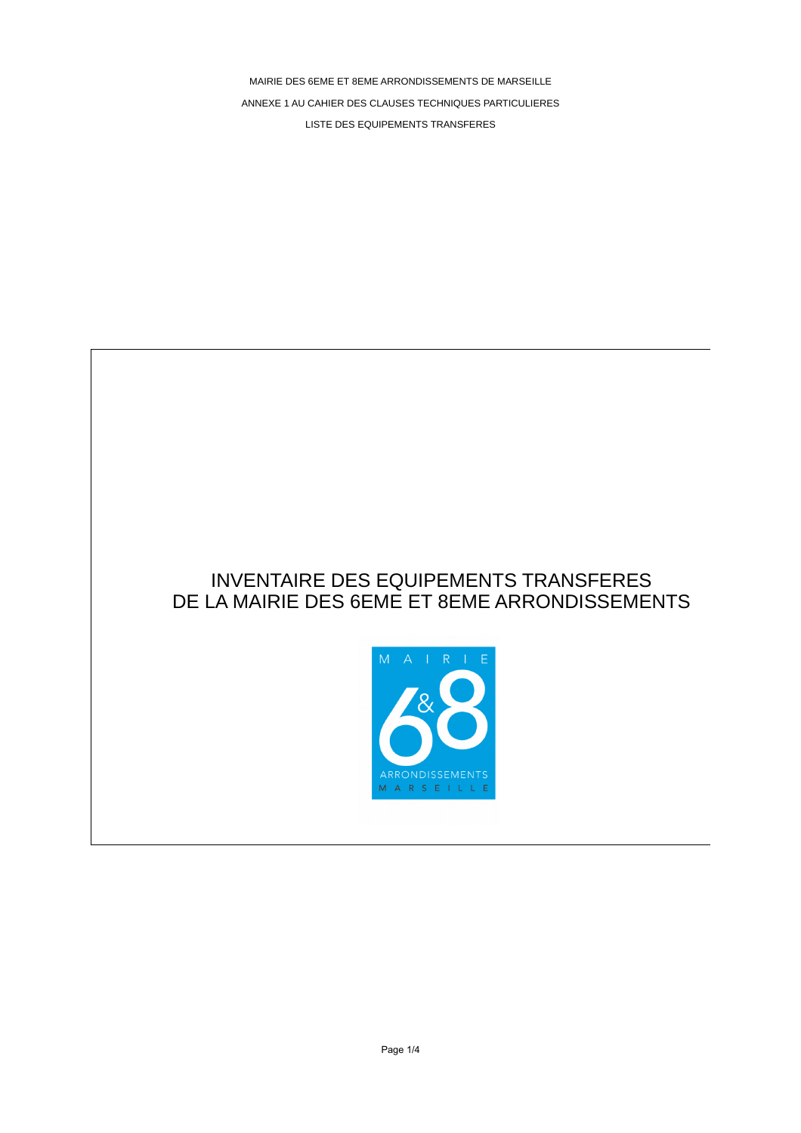MAIRIE DES 6EME ET 8EME ARRONDISSEMENTS DE MARSEILLE ANNEXE 1 AU CAHIER DES CLAUSES TECHNIQUES PARTICULIERES LISTE DES EQUIPEMENTS TRANSFERES

## INVENTAIRE DES EQUIPEMENTS TRANSFERES DE LA MAIRIE DES 6EME ET 8EME ARRONDISSEMENTS

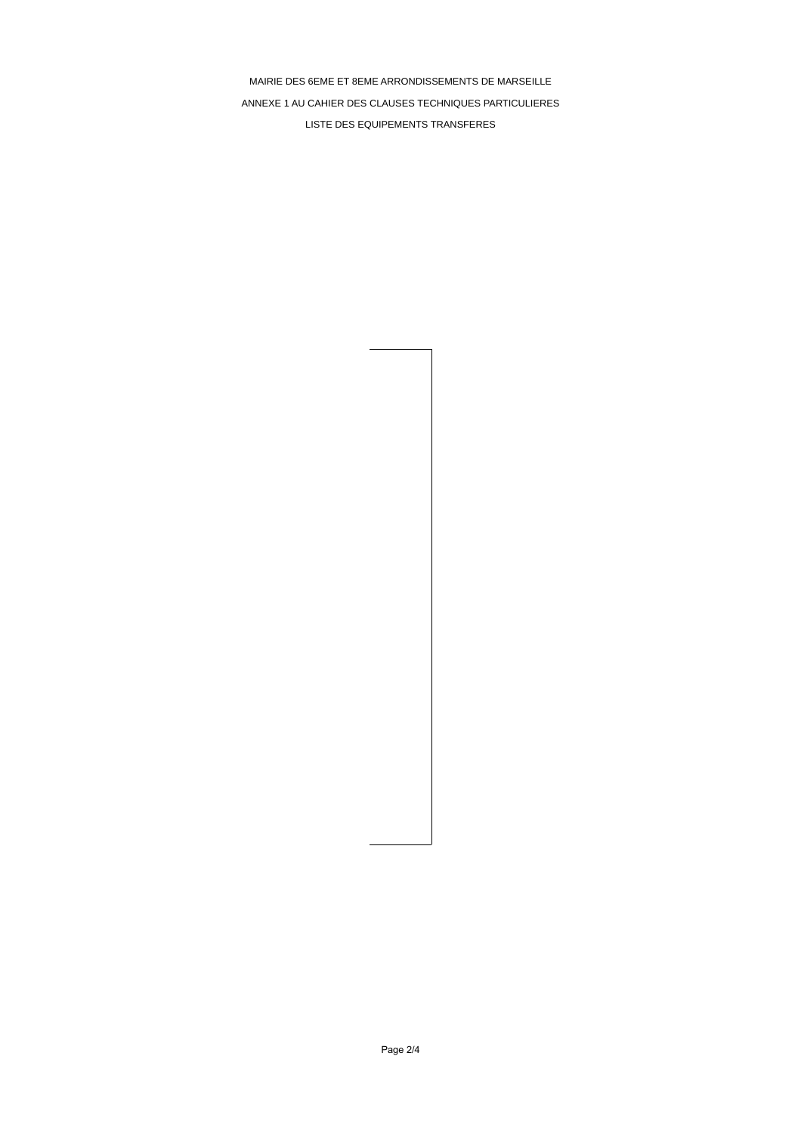MAIRIE DES 6EME ET 8EME ARRONDISSEMENTS DE MARSEILLE ANNEXE 1 AU CAHIER DES CLAUSES TECHNIQUES PARTICULIERES LISTE DES EQUIPEMENTS TRANSFERES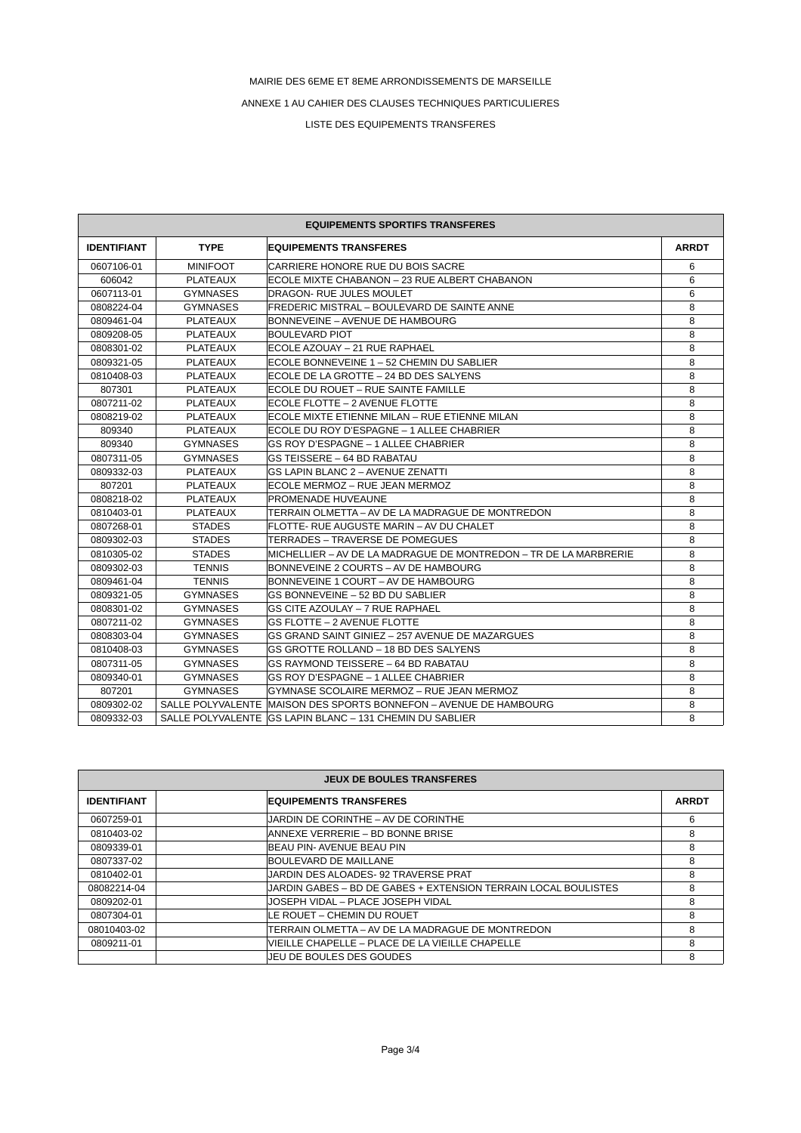## MAIRIE DES 6EME ET 8EME ARRONDISSEMENTS DE MARSEILLE

ANNEXE 1 AU CAHIER DES CLAUSES TECHNIQUES PARTICULIERES

LISTE DES EQUIPEMENTS TRANSFERES

| <b>EQUIPEMENTS SPORTIFS TRANSFERES</b> |                 |                                                                   |              |  |
|----------------------------------------|-----------------|-------------------------------------------------------------------|--------------|--|
| <b>IDENTIFIANT</b>                     | <b>TYPE</b>     | <b>EQUIPEMENTS TRANSFERES</b>                                     | <b>ARRDT</b> |  |
| 0607106-01                             | <b>MINIFOOT</b> | CARRIERE HONORE RUE DU BOIS SACRE                                 | 6            |  |
| 606042                                 | <b>PLATEAUX</b> | IECOLE MIXTE CHABANON – 23 RUE ALBERT CHABANON                    | 6            |  |
| 0607113-01                             | <b>GYMNASES</b> | DRAGON- RUE JULES MOULET                                          | 6            |  |
| 0808224-04                             | <b>GYMNASES</b> | FREDERIC MISTRAL - BOULEVARD DE SAINTE ANNE                       | 8            |  |
| 0809461-04                             | <b>PLATEAUX</b> | BONNEVEINE – AVENUE DE HAMBOURG                                   | 8            |  |
| 0809208-05                             | <b>PLATEAUX</b> | <b>BOULEVARD PIOT</b>                                             | 8            |  |
| 0808301-02                             | PLATEAUX        | IECOLE AZOUAY – 21 RUE RAPHAEL                                    | 8            |  |
| 0809321-05                             | <b>PLATEAUX</b> | ECOLE BONNEVEINE 1 – 52 CHEMIN DU SABLIER                         | 8            |  |
| 0810408-03                             | <b>PLATEAUX</b> | ECOLE DE LA GROTTE – 24 BD DES SALYENS                            | 8            |  |
| 807301                                 | <b>PLATEAUX</b> | ECOLE DU ROUET - RUE SAINTE FAMILLE                               | 8            |  |
| 0807211-02                             | <b>PLATEAUX</b> | ECOLE FLOTTE – 2 AVENUE FLOTTE                                    | 8            |  |
| 0808219-02                             | <b>PLATEAUX</b> | ECOLE MIXTE ETIENNE MILAN - RUE ETIENNE MILAN                     | 8            |  |
| 809340                                 | PLATEAUX        | ECOLE DU ROY D'ESPAGNE – 1 ALLEE CHABRIER                         | 8            |  |
| 809340                                 | <b>GYMNASES</b> | GS ROY D'ESPAGNE – 1 ALLEE CHABRIER                               | 8            |  |
| 0807311-05                             | <b>GYMNASES</b> | GS TEISSERE - 64 BD RABATAU                                       | 8            |  |
| 0809332-03                             | <b>PLATEAUX</b> | <b>GS LAPIN BLANC 2 - AVENUE ZENATTI</b>                          | 8            |  |
| 807201                                 | <b>PLATEAUX</b> | ECOLE MERMOZ – RUE JEAN MERMOZ                                    | 8            |  |
| 0808218-02                             | <b>PLATEAUX</b> | PROMENADE HUVEAUNE                                                | 8            |  |
| 0810403-01                             | PLATEAUX        | TERRAIN OLMETTA – AV DE LA MADRAGUE DE MONTREDON                  | 8            |  |
| 0807268-01                             | <b>STADES</b>   | FLOTTE- RUE AUGUSTE MARIN – AV DU CHALET                          | 8            |  |
| 0809302-03                             | <b>STADES</b>   | TERRADES - TRAVERSE DE POMEGUES                                   | 8            |  |
| 0810305-02                             | <b>STADES</b>   | MICHELLIER – AV DE LA MADRAGUE DE MONTREDON – TR DE LA MARBRERIE  | 8            |  |
| 0809302-03                             | <b>TENNIS</b>   | BONNEVEINE 2 COURTS – AV DE HAMBOURG                              | 8            |  |
| 0809461-04                             | <b>TENNIS</b>   | BONNEVEINE 1 COURT – AV DE HAMBOURG                               | 8            |  |
| 0809321-05                             | <b>GYMNASES</b> | GS BONNEVEINE - 52 BD DU SABLIER                                  | 8            |  |
| 0808301-02                             | <b>GYMNASES</b> | <b>GS CITE AZOULAY - 7 RUE RAPHAEL</b>                            | 8            |  |
| 0807211-02                             | <b>GYMNASES</b> | <b>GS FLOTTE - 2 AVENUE FLOTTE</b>                                | 8            |  |
| 0808303-04                             | <b>GYMNASES</b> | GS GRAND SAINT GINIEZ - 257 AVENUE DE MAZARGUES                   | 8            |  |
| 0810408-03                             | <b>GYMNASES</b> | GS GROTTE ROLLAND - 18 BD DES SALYENS                             | 8            |  |
| 0807311-05                             | <b>GYMNASES</b> | GS RAYMOND TEISSERE – 64 BD RABATAU                               | 8            |  |
| 0809340-01                             | <b>GYMNASES</b> | GS ROY D'ESPAGNE – 1 ALLEE CHABRIER                               | 8            |  |
| 807201                                 | <b>GYMNASES</b> | GYMNASE SCOLAIRE MERMOZ - RUE JEAN MERMOZ                         | 8            |  |
| 0809302-02                             |                 | SALLE POLYVALENTE MAISON DES SPORTS BONNEFON - AVENUE DE HAMBOURG | 8            |  |
| 0809332-03                             |                 | SALLE POLYVALENTE IGS LAPIN BLANC - 131 CHEMIN DU SABLIER         | 8            |  |

| <b>JEUX DE BOULES TRANSFERES</b> |                                                                |              |  |  |
|----------------------------------|----------------------------------------------------------------|--------------|--|--|
| <b>IDENTIFIANT</b>               | <b>EQUIPEMENTS TRANSFERES</b>                                  | <b>ARRDT</b> |  |  |
| 0607259-01                       | JARDIN DE CORINTHE – AV DE CORINTHE                            | 6            |  |  |
| 0810403-02                       | ANNEXE VERRERIE – BD BONNE BRISE                               | 8            |  |  |
| 0809339-01                       | BEAU PIN- AVENUE BEAU PIN                                      | 8            |  |  |
| 0807337-02                       | BOULEVARD DE MAILLANE                                          | 8            |  |  |
| 0810402-01                       | JARDIN DES ALOADES- 92 TRAVERSE PRAT                           | 8            |  |  |
| 08082214-04                      | JARDIN GABES – BD DE GABES + EXTENSION TERRAIN LOCAL BOULISTES | 8            |  |  |
| 0809202-01                       | IJOSEPH VIDAL – PLACE JOSEPH VIDAL                             | 8            |  |  |
| 0807304-01                       | ILE ROUET – CHEMIN DU ROUET                                    | 8            |  |  |
| 08010403-02                      | ITERRAIN OLMETTA – AV DE LA MADRAGUE DE MONTREDON              | 8            |  |  |
| 0809211-01                       | VIEILLE CHAPELLE - PLACE DE LA VIEILLE CHAPELLE                | 8            |  |  |
|                                  | JEU DE BOULES DES GOUDES                                       | 8            |  |  |